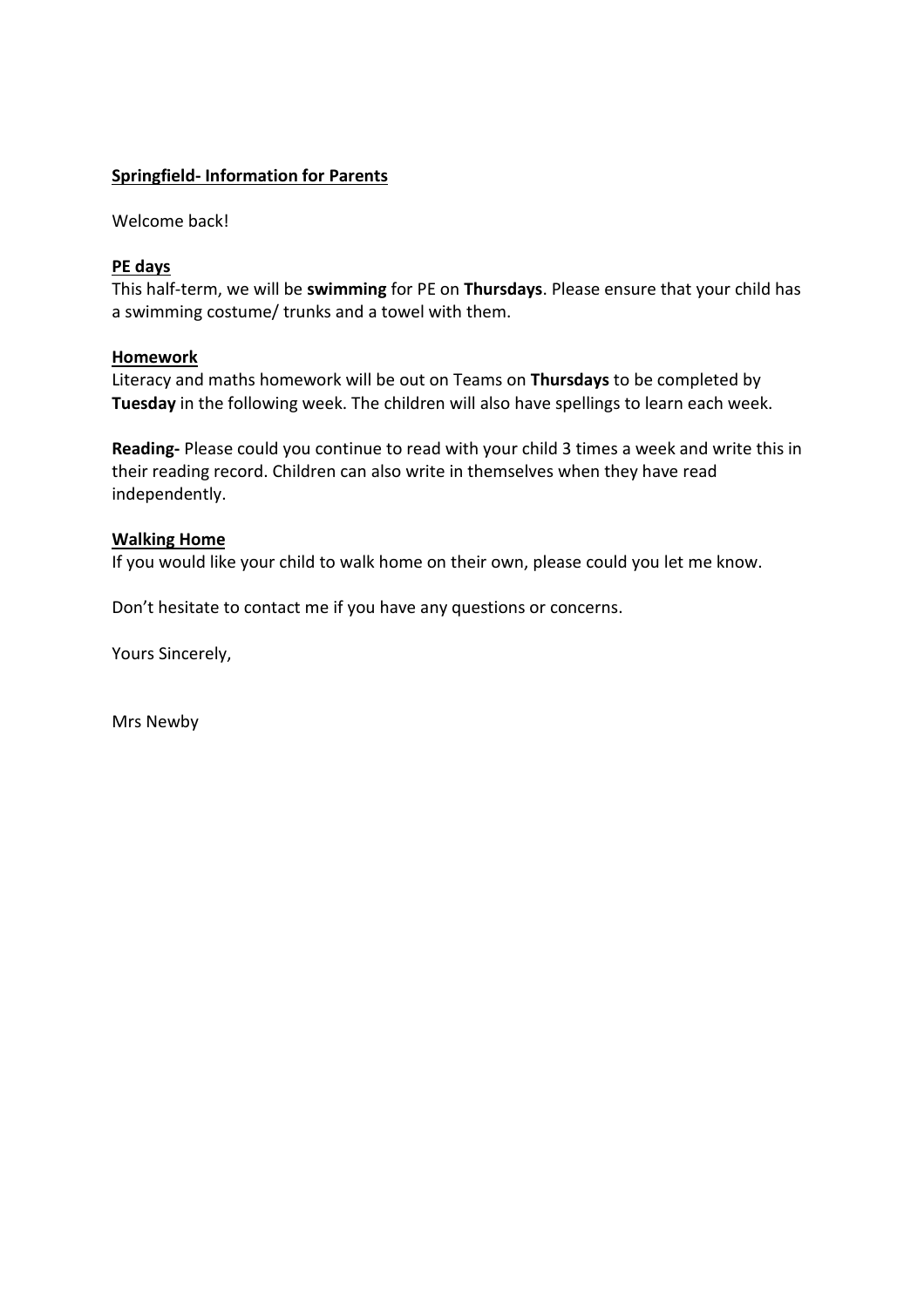# **Springfield- Information for Parents**

Welcome back!

# **PE days**

This half-term, we will be **swimming** for PE on **Thursdays**. Please ensure that your child has a swimming costume/ trunks and a towel with them.

## **Homework**

Literacy and maths homework will be out on Teams on **Thursdays** to be completed by **Tuesday** in the following week. The children will also have spellings to learn each week.

**Reading-** Please could you continue to read with your child 3 times a week and write this in their reading record. Children can also write in themselves when they have read independently.

# **Walking Home**

If you would like your child to walk home on their own, please could you let me know.

Don't hesitate to contact me if you have any questions or concerns.

Yours Sincerely,

Mrs Newby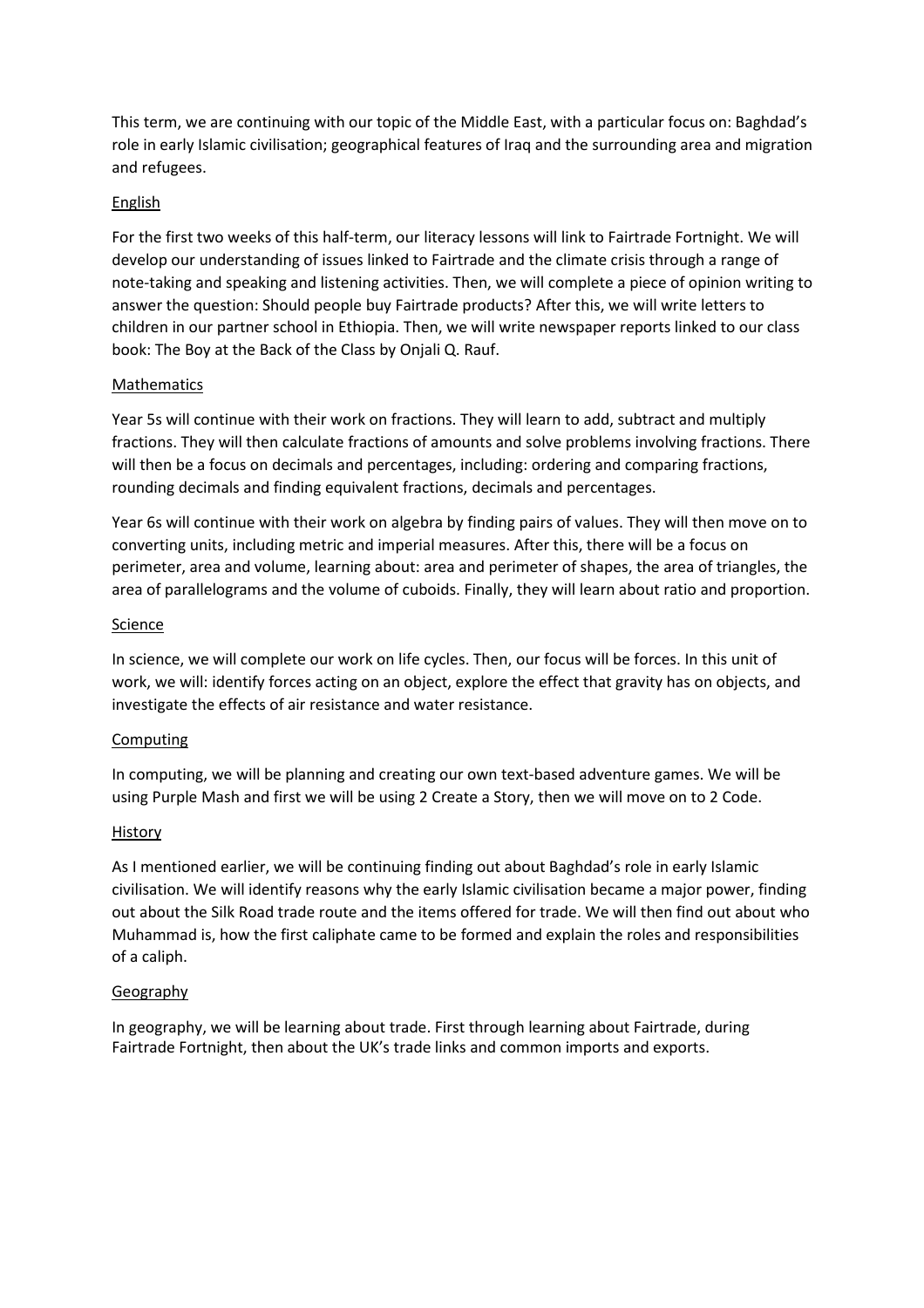This term, we are continuing with our topic of the Middle East, with a particular focus on: Baghdad's role in early Islamic civilisation; geographical features of Iraq and the surrounding area and migration and refugees.

## English

For the first two weeks of this half-term, our literacy lessons will link to Fairtrade Fortnight. We will develop our understanding of issues linked to Fairtrade and the climate crisis through a range of note-taking and speaking and listening activities. Then, we will complete a piece of opinion writing to answer the question: Should people buy Fairtrade products? After this, we will write letters to children in our partner school in Ethiopia. Then, we will write newspaper reports linked to our class book: The Boy at the Back of the Class by Onjali Q. Rauf.

#### Mathematics

Year 5s will continue with their work on fractions. They will learn to add, subtract and multiply fractions. They will then calculate fractions of amounts and solve problems involving fractions. There will then be a focus on decimals and percentages, including: ordering and comparing fractions, rounding decimals and finding equivalent fractions, decimals and percentages.

Year 6s will continue with their work on algebra by finding pairs of values. They will then move on to converting units, including metric and imperial measures. After this, there will be a focus on perimeter, area and volume, learning about: area and perimeter of shapes, the area of triangles, the area of parallelograms and the volume of cuboids. Finally, they will learn about ratio and proportion.

## **Science**

In science, we will complete our work on life cycles. Then, our focus will be forces. In this unit of work, we will: identify forces acting on an object, explore the effect that gravity has on objects, and investigate the effects of air resistance and water resistance.

# Computing

In computing, we will be planning and creating our own text-based adventure games. We will be using Purple Mash and first we will be using 2 Create a Story, then we will move on to 2 Code.

#### **History**

As I mentioned earlier, we will be continuing finding out about Baghdad's role in early Islamic civilisation. We will identify reasons why the early Islamic civilisation became a major power, finding out about the Silk Road trade route and the items offered for trade. We will then find out about who Muhammad is, how the first caliphate came to be formed and explain the roles and responsibilities of a caliph.

#### Geography

In geography, we will be learning about trade. First through learning about Fairtrade, during Fairtrade Fortnight, then about the UK's trade links and common imports and exports.